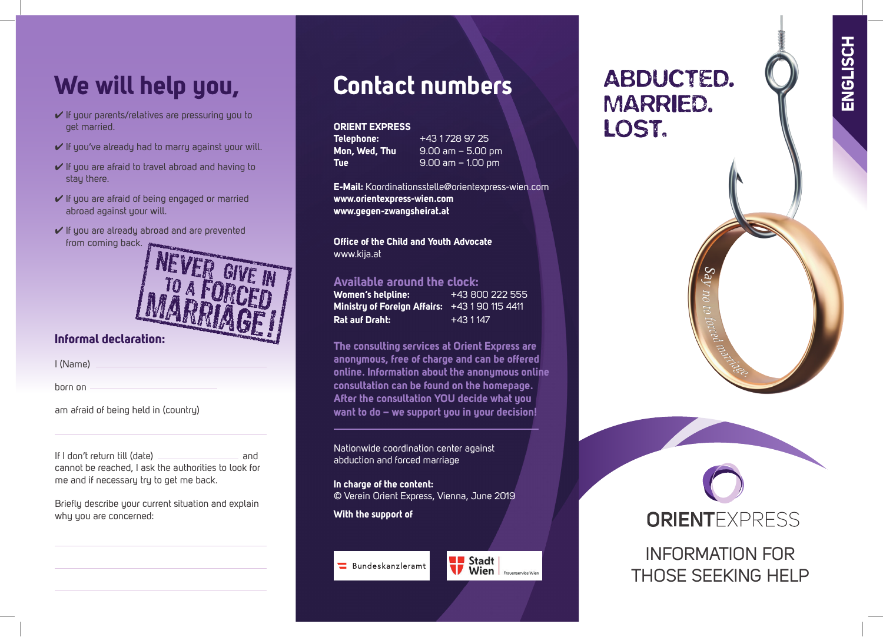# **We will help you,**

- ✔ If your parents/relatives are pressuring you to get married.
- $\checkmark$  If you've already had to marry against your will.
- $\checkmark$  If you are afraid to travel abroad and having to stay there.
- ✔ If you are afraid of being engaged or married abroad against your will.
- ✔ If you are already abroad and are prevented from coming back.



### **Informal declaration:**

I (Name)

born on

am afraid of being held in (country)

If I don't return till (date) **and** cannot be reached, I ask the authorities to look for me and if necessary try to get me back.

Briefly describe your current situation and explain why you are concerned:

## **Contact numbers**

#### **ORIENT EXPRESS**

**Telephone:** +43 1 728 97 25<br>**Mon, Wed, Th<u>u 9.00 am – 5.00 p</u> Mon, Wed, Thu** 9.00 am – 5.00 pm **Tue** 9.00 am – 1.00 pm

**E-Mail:** Koordinationsstelle@orientexpress-wien.com **www.orientexpress-wien.com www.gegen-zwangsheirat.at**

**Office of the Child and Youth Advocate** www.kija.at

#### **Available around the clock:**

| Women's helpline:                            | +43 800 222 555 |
|----------------------------------------------|-----------------|
| Ministry of Foreign Affairs: $+431901154411$ |                 |
| <b>Rat auf Draht:</b>                        | '+43 1 147.     |

**The consulting services at Orient Express are anonymous, free of charge and can be offered online. Information about the anonymous online consultation can be found on the homepage. After the consultation YOU decide what you want to do – we support you in your decision!** 

Nationwide coordination center against abduction and forced marriage

**In charge of the content:** © Verein Orient Express, Vienna, June 2019

**With the support of**

### Bundeskanzleramt



## **ABDUCTED. MARRIED.** LOST.



INFORMATION FOR THOSE SEEKING HELP